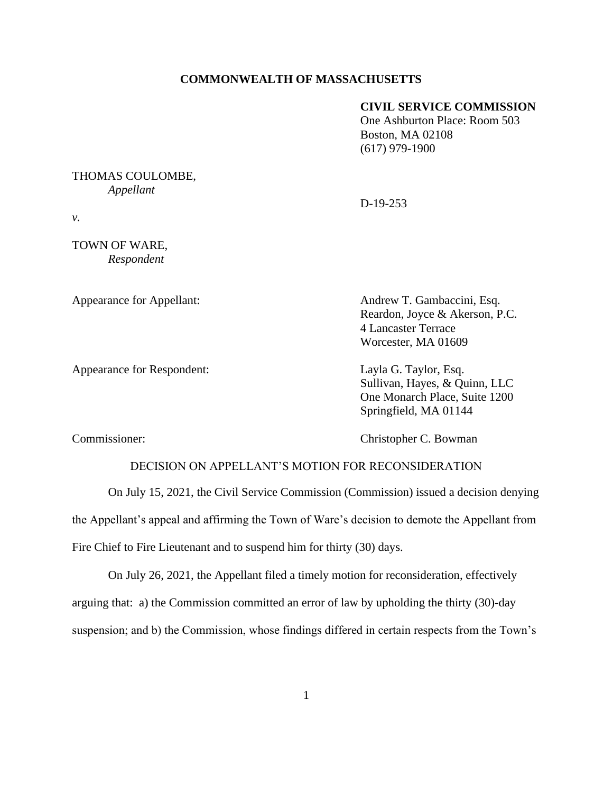## **COMMONWEALTH OF MASSACHUSETTS**

## **CIVIL SERVICE COMMISSION**

One Ashburton Place: Room 503 Boston, MA 02108 (617) 979-1900

## THOMAS COULOMBE, *Appellant*

D-19-253

*v.* 

TOWN OF WARE, *Respondent*

Appearance for Respondent: Layla G. Taylor, Esq.

Appearance for Appellant: Andrew T. Gambaccini, Esq. Reardon, Joyce & Akerson, P.C. 4 Lancaster Terrace Worcester, MA 01609

> Sullivan, Hayes, & Quinn, LLC One Monarch Place, Suite 1200 Springfield, MA 01144

Commissioner: Christopher C. Bowman

## DECISION ON APPELLANT'S MOTION FOR RECONSIDERATION

On July 15, 2021, the Civil Service Commission (Commission) issued a decision denying the Appellant's appeal and affirming the Town of Ware's decision to demote the Appellant from Fire Chief to Fire Lieutenant and to suspend him for thirty (30) days.

On July 26, 2021, the Appellant filed a timely motion for reconsideration, effectively arguing that: a) the Commission committed an error of law by upholding the thirty (30)-day suspension; and b) the Commission, whose findings differed in certain respects from the Town's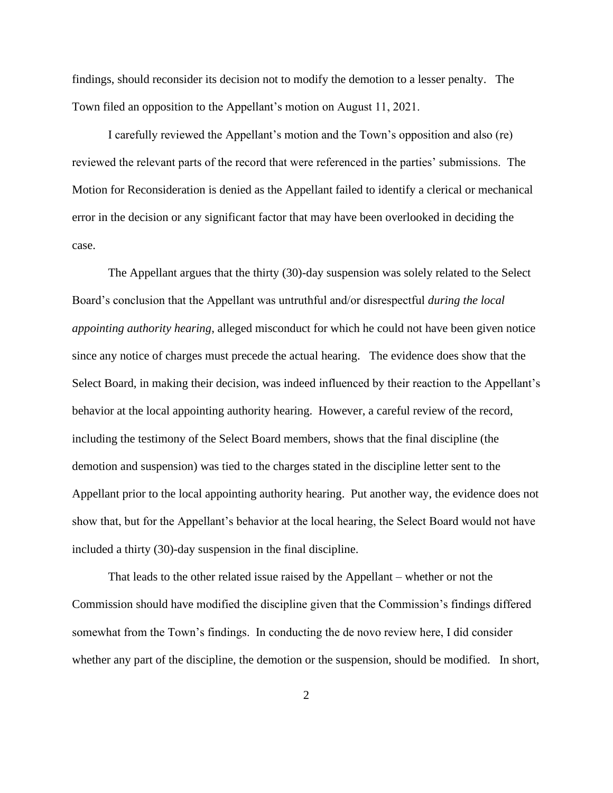findings, should reconsider its decision not to modify the demotion to a lesser penalty. The Town filed an opposition to the Appellant's motion on August 11, 2021.

I carefully reviewed the Appellant's motion and the Town's opposition and also (re) reviewed the relevant parts of the record that were referenced in the parties' submissions. The Motion for Reconsideration is denied as the Appellant failed to identify a clerical or mechanical error in the decision or any significant factor that may have been overlooked in deciding the case.

The Appellant argues that the thirty (30)-day suspension was solely related to the Select Board's conclusion that the Appellant was untruthful and/or disrespectful *during the local appointing authority hearing*, alleged misconduct for which he could not have been given notice since any notice of charges must precede the actual hearing. The evidence does show that the Select Board, in making their decision, was indeed influenced by their reaction to the Appellant's behavior at the local appointing authority hearing. However, a careful review of the record, including the testimony of the Select Board members, shows that the final discipline (the demotion and suspension) was tied to the charges stated in the discipline letter sent to the Appellant prior to the local appointing authority hearing. Put another way, the evidence does not show that, but for the Appellant's behavior at the local hearing, the Select Board would not have included a thirty (30)-day suspension in the final discipline.

That leads to the other related issue raised by the Appellant – whether or not the Commission should have modified the discipline given that the Commission's findings differed somewhat from the Town's findings. In conducting the de novo review here, I did consider whether any part of the discipline, the demotion or the suspension, should be modified. In short,